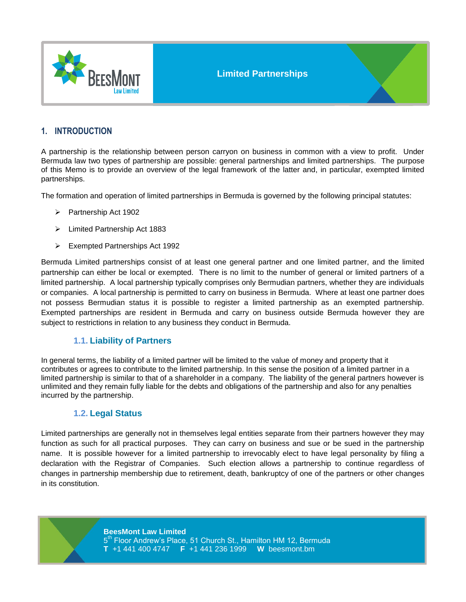

# **1. INTRODUCTION**

A partnership is the relationship between person carryon on business in common with a view to profit. Under Bermuda law two types of partnership are possible: general partnerships and limited partnerships. The purpose of this Memo is to provide an overview of the legal framework of the latter and, in particular, exempted limited partnerships.

The formation and operation of limited partnerships in Bermuda is governed by the following principal statutes:

- Partnership Act 1902
- Limited Partnership Act 1883
- Exempted Partnerships Act 1992

Bermuda Limited partnerships consist of at least one general partner and one limited partner, and the limited partnership can either be local or exempted. There is no limit to the number of general or limited partners of a limited partnership. A local partnership typically comprises only Bermudian partners, whether they are individuals or companies. A local partnership is permitted to carry on business in Bermuda. Where at least one partner does not possess Bermudian status it is possible to register a limited partnership as an exempted partnership. Exempted partnerships are resident in Bermuda and carry on business outside Bermuda however they are subject to restrictions in relation to any business they conduct in Bermuda.

#### **1.1. Liability of Partners**

In general terms, the liability of a limited partner will be limited to the value of money and property that it contributes or agrees to contribute to the limited partnership. In this sense the position of a limited partner in a limited partnership is similar to that of a shareholder in a company. The liability of the general partners however is unlimited and they remain fully liable for the debts and obligations of the partnership and also for any penalties incurred by the partnership.

#### **1.2. Legal Status**

Limited partnerships are generally not in themselves legal entities separate from their partners however they may function as such for all practical purposes. They can carry on business and sue or be sued in the partnership name. It is possible however for a limited partnership to irrevocably elect to have legal personality by filing a declaration with the Registrar of Companies. Such election allows a partnership to continue regardless of changes in partnership membership due to retirement, death, bankruptcy of one of the partners or other changes in its constitution.

**BeesMont Law Limited**

5<sup>th</sup> Floor Andrew's Place, 51 Church St., Hamilton HM 12, Bermuda **T** +1 441 400 4747 **F** +1 441 236 1999 **W** beesmont.bm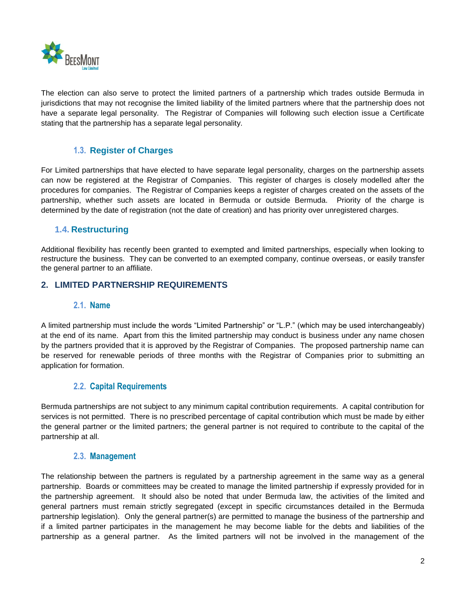

The election can also serve to protect the limited partners of a partnership which trades outside Bermuda in jurisdictions that may not recognise the limited liability of the limited partners where that the partnership does not have a separate legal personality. The Registrar of Companies will following such election issue a Certificate stating that the partnership has a separate legal personality.

## **1.3. Register of Charges**

For Limited partnerships that have elected to have separate legal personality, charges on the partnership assets can now be registered at the Registrar of Companies. This register of charges is closely modelled after the procedures for companies. The Registrar of Companies keeps a register of charges created on the assets of the partnership, whether such assets are located in Bermuda or outside Bermuda. Priority of the charge is determined by the date of registration (not the date of creation) and has priority over unregistered charges.

#### **1.4. Restructuring**

Additional flexibility has recently been granted to exempted and limited partnerships, especially when looking to restructure the business. They can be converted to an exempted company, continue overseas, or easily transfer the general partner to an affiliate.

#### **2. LIMITED PARTNERSHIP REQUIREMENTS**

#### **2.1. Name**

A limited partnership must include the words "Limited Partnership" or "L.P." (which may be used interchangeably) at the end of its name. Apart from this the limited partnership may conduct is business under any name chosen by the partners provided that it is approved by the Registrar of Companies. The proposed partnership name can be reserved for renewable periods of three months with the Registrar of Companies prior to submitting an application for formation.

#### **2.2. Capital Requirements**

Bermuda partnerships are not subject to any minimum capital contribution requirements. A capital contribution for services is not permitted. There is no prescribed percentage of capital contribution which must be made by either the general partner or the limited partners; the general partner is not required to contribute to the capital of the partnership at all.

#### **2.3. Management**

The relationship between the partners is regulated by a partnership agreement in the same way as a general partnership. Boards or committees may be created to manage the limited partnership if expressly provided for in the partnership agreement. It should also be noted that under Bermuda law, the activities of the limited and general partners must remain strictly segregated (except in specific circumstances detailed in the Bermuda partnership legislation). Only the general partner(s) are permitted to manage the business of the partnership and if a limited partner participates in the management he may become liable for the debts and liabilities of the partnership as a general partner. As the limited partners will not be involved in the management of the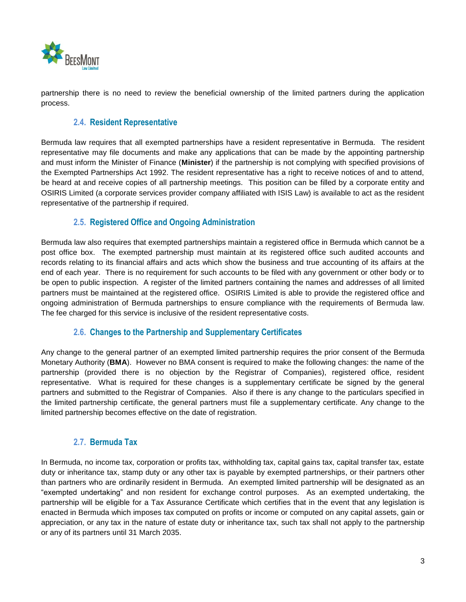

partnership there is no need to review the beneficial ownership of the limited partners during the application process.

## **2.4. Resident Representative**

Bermuda law requires that all exempted partnerships have a resident representative in Bermuda. The resident representative may file documents and make any applications that can be made by the appointing partnership and must inform the Minister of Finance (**Minister**) if the partnership is not complying with specified provisions of the Exempted Partnerships Act 1992. The resident representative has a right to receive notices of and to attend, be heard at and receive copies of all partnership meetings. This position can be filled by a corporate entity and OSIRIS Limited (a corporate services provider company affiliated with ISIS Law) is available to act as the resident representative of the partnership if required.

## **2.5. Registered Office and Ongoing Administration**

Bermuda law also requires that exempted partnerships maintain a registered office in Bermuda which cannot be a post office box. The exempted partnership must maintain at its registered office such audited accounts and records relating to its financial affairs and acts which show the business and true accounting of its affairs at the end of each year. There is no requirement for such accounts to be filed with any government or other body or to be open to public inspection. A register of the limited partners containing the names and addresses of all limited partners must be maintained at the registered office. OSIRIS Limited is able to provide the registered office and ongoing administration of Bermuda partnerships to ensure compliance with the requirements of Bermuda law. The fee charged for this service is inclusive of the resident representative costs.

## **2.6. Changes to the Partnership and Supplementary Certificates**

Any change to the general partner of an exempted limited partnership requires the prior consent of the Bermuda Monetary Authority (**BMA**). However no BMA consent is required to make the following changes: the name of the partnership (provided there is no objection by the Registrar of Companies), registered office, resident representative. What is required for these changes is a supplementary certificate be signed by the general partners and submitted to the Registrar of Companies. Also if there is any change to the particulars specified in the limited partnership certificate, the general partners must file a supplementary certificate. Any change to the limited partnership becomes effective on the date of registration.

## **2.7. Bermuda Tax**

In Bermuda, no income tax, corporation or profits tax, withholding tax, capital gains tax, capital transfer tax, estate duty or inheritance tax, stamp duty or any other tax is payable by exempted partnerships, or their partners other than partners who are ordinarily resident in Bermuda. An exempted limited partnership will be designated as an "exempted undertaking" and non resident for exchange control purposes. As an exempted undertaking, the partnership will be eligible for a Tax Assurance Certificate which certifies that in the event that any legislation is enacted in Bermuda which imposes tax computed on profits or income or computed on any capital assets, gain or appreciation, or any tax in the nature of estate duty or inheritance tax, such tax shall not apply to the partnership or any of its partners until 31 March 2035.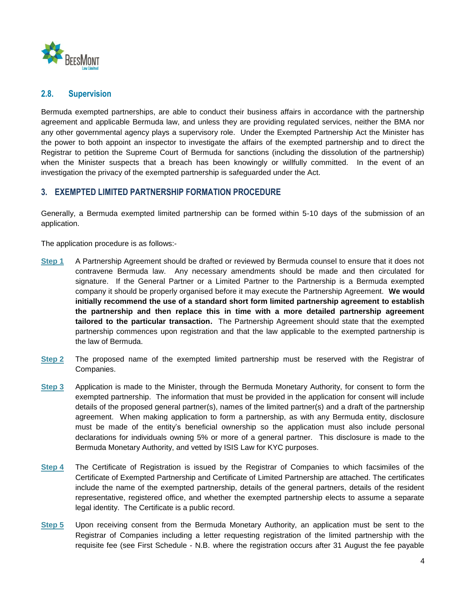

## **2.8. Supervision**

Bermuda exempted partnerships, are able to conduct their business affairs in accordance with the partnership agreement and applicable Bermuda law, and unless they are providing regulated services, neither the BMA nor any other governmental agency plays a supervisory role. Under the Exempted Partnership Act the Minister has the power to both appoint an inspector to investigate the affairs of the exempted partnership and to direct the Registrar to petition the Supreme Court of Bermuda for sanctions (including the dissolution of the partnership) when the Minister suspects that a breach has been knowingly or willfully committed. In the event of an investigation the privacy of the exempted partnership is safeguarded under the Act.

#### **3. EXEMPTED LIMITED PARTNERSHIP FORMATION PROCEDURE**

Generally, a Bermuda exempted limited partnership can be formed within 5-10 days of the submission of an application.

The application procedure is as follows:-

- **Step 1** A Partnership Agreement should be drafted or reviewed by Bermuda counsel to ensure that it does not contravene Bermuda law. Any necessary amendments should be made and then circulated for signature. If the General Partner or a Limited Partner to the Partnership is a Bermuda exempted company it should be properly organised before it may execute the Partnership Agreement. **We would initially recommend the use of a standard short form limited partnership agreement to establish the partnership and then replace this in time with a more detailed partnership agreement tailored to the particular transaction.** The Partnership Agreement should state that the exempted partnership commences upon registration and that the law applicable to the exempted partnership is the law of Bermuda.
- **Step 2** The proposed name of the exempted limited partnership must be reserved with the Registrar of Companies.
- **Step 3** Application is made to the Minister, through the Bermuda Monetary Authority, for consent to form the exempted partnership. The information that must be provided in the application for consent will include details of the proposed general partner(s), names of the limited partner(s) and a draft of the partnership agreement. When making application to form a partnership, as with any Bermuda entity, disclosure must be made of the entity's beneficial ownership so the application must also include personal declarations for individuals owning 5% or more of a general partner. This disclosure is made to the Bermuda Monetary Authority, and vetted by ISIS Law for KYC purposes.
- **Step 4** The Certificate of Registration is issued by the Registrar of Companies to which facsimiles of the Certificate of Exempted Partnership and Certificate of Limited Partnership are attached. The certificates include the name of the exempted partnership, details of the general partners, details of the resident representative, registered office, and whether the exempted partnership elects to assume a separate legal identity. The Certificate is a public record.
- **Step 5** Upon receiving consent from the Bermuda Monetary Authority, an application must be sent to the Registrar of Companies including a letter requesting registration of the limited partnership with the requisite fee (see First Schedule - N.B. where the registration occurs after 31 August the fee payable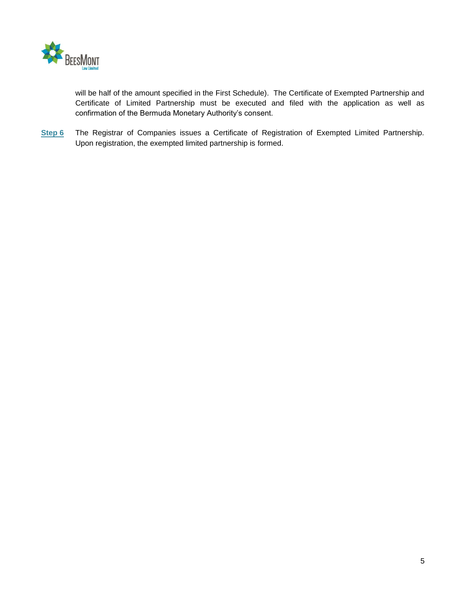

will be half of the amount specified in the First Schedule). The Certificate of Exempted Partnership and Certificate of Limited Partnership must be executed and filed with the application as well as confirmation of the Bermuda Monetary Authority's consent.

**Step 6** The Registrar of Companies issues a Certificate of Registration of Exempted Limited Partnership. Upon registration, the exempted limited partnership is formed.